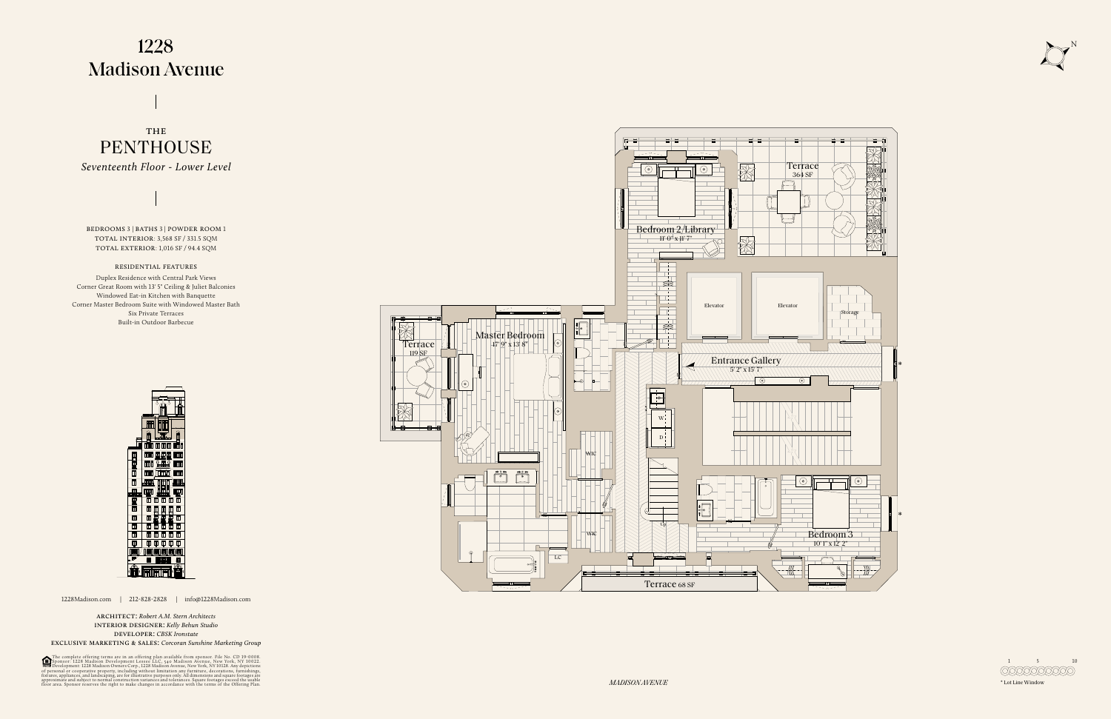## 1228 **Madison Avenue**

**PENTHOUSE** THE



1228Madison.com | 212-828-2828 | info@1228Madison.com

architect: *Robert A.M. Stern Architects* interior designer: *Kelly Behun Studio* developer: *CBSK Ironstate*

exclusive marketing & sales: *Corcoran Sunshine Marketing Group*

The complete offering terms are in an offering plan available from sponsor. File No. CD 19-0008.<br>Sponsor: 1228 Madison Development Lessee LLC, 540 Madison Avenue, New York, NY 10022.<br>Development: 1228 Madison Owners Corp.,

1 5 10 **COOOOOOO** 

bedrooms 3 | baths 3 | powder room 1 total interior: 3,568 SF / 331.5 SQM total exterior: 1,016 SF / 94.4 SQM

*Seventeenth Floor - Lower Level*

## residential features

Duplex Residence with Central Park Views Corner Great Room with 13' 5" Ceiling & Juliet Balconies Windowed Eat-in Kitchen with Banquette Corner Master Bedroom Suite with Windowed Master Bath Six Private Terraces Built-in Outdoor Barbecue





*MADISON AVENUE* \* Lot Line Window